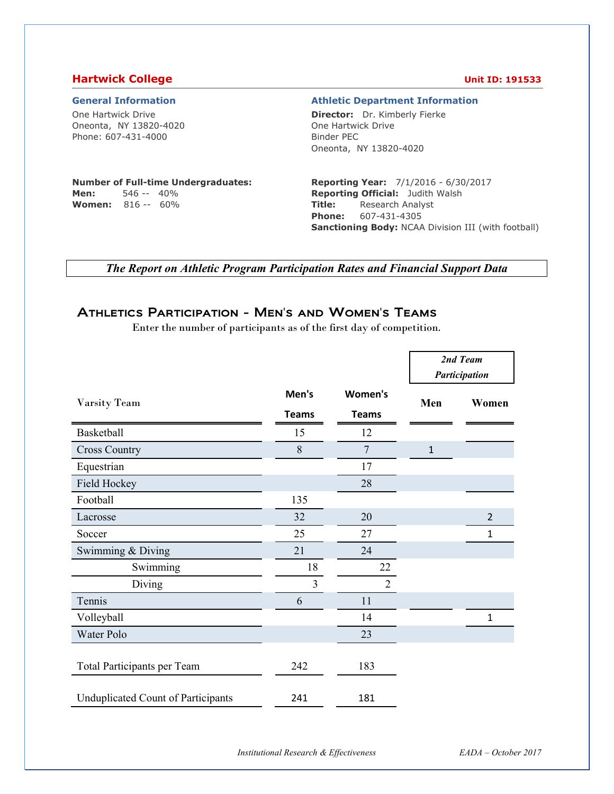### **Hartwick College Unit ID: 191533**

#### **General Information Athletic Department Information**

One Hartwick Drive Oneonta, NY 13820-4020 Phone: 607-431-4000

**Director:** Dr. Kimberly Fierke One Hartwick Drive Binder PEC Oneonta, NY 13820-4020

#### **Number of Full-time Undergraduates: Men:** 546 -- 40%

**Women:** 816 -- 60%

#### **Reporting Year:** 7/1/2016 - 6/30/2017 **Reporting Official:** Judith Walsh **Title:** Research Analyst **Phone:** 607-431-4305 **Sanctioning Body:** NCAA Division III (with football)

*The Report on Athletic Program Participation Rates and Financial Support Data* 

## Athletics Participation - Men's and Women's Teams

Enter the number of participants as of the first day of competition.

|                                           |                       |                         | 2nd Team<br>Participation |                |  |
|-------------------------------------------|-----------------------|-------------------------|---------------------------|----------------|--|
| Varsity Team                              | Men's<br><b>Teams</b> | Women's<br><b>Teams</b> | Men                       | Women          |  |
| Basketball                                | 15                    | 12                      |                           |                |  |
| <b>Cross Country</b>                      | 8                     | 7                       | $\mathbf{1}$              |                |  |
| Equestrian                                |                       | 17                      |                           |                |  |
| Field Hockey                              |                       | 28                      |                           |                |  |
| Football                                  | 135                   |                         |                           |                |  |
| Lacrosse                                  | 32                    | 20                      |                           | $\overline{2}$ |  |
| Soccer                                    | 25                    | 27                      |                           | $\mathbf 1$    |  |
| Swimming & Diving                         | 21                    | 24                      |                           |                |  |
| Swimming                                  | 18                    | 22                      |                           |                |  |
| Diving                                    | $\overline{3}$        | $\overline{2}$          |                           |                |  |
| Tennis                                    | 6                     | 11                      |                           |                |  |
| Volleyball                                |                       | 14                      |                           | $\mathbf 1$    |  |
| Water Polo                                |                       | 23                      |                           |                |  |
| <b>Total Participants per Team</b>        | 242                   | 183                     |                           |                |  |
| <b>Unduplicated Count of Participants</b> | 241                   | 181                     |                           |                |  |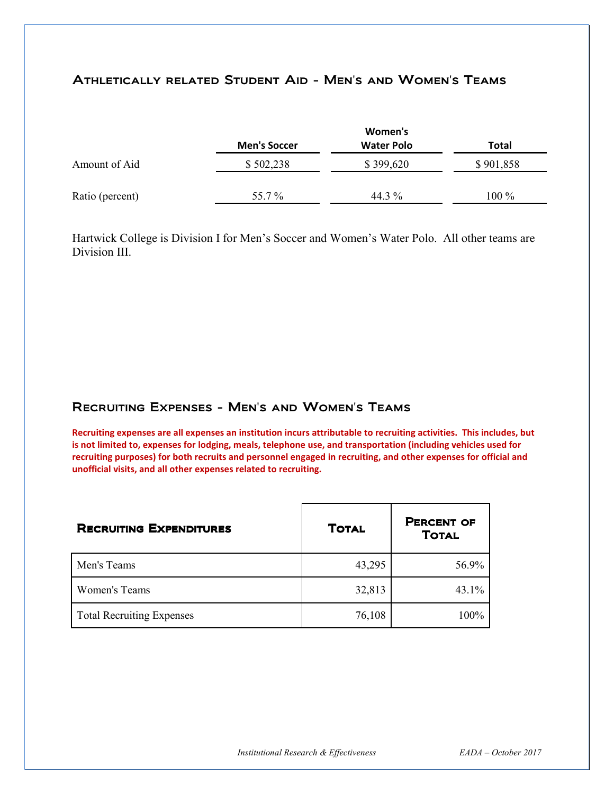## Athletically related Student Aid - Men's and Women's Teams

|                 |                     | Women's           |           |
|-----------------|---------------------|-------------------|-----------|
|                 | <b>Men's Soccer</b> | <b>Water Polo</b> | Total     |
| Amount of Aid   | \$502,238           | \$399,620         | \$901,858 |
| Ratio (percent) | 55.7%               | 44.3 %            | 100 %     |

Hartwick College is Division I for Men's Soccer and Women's Water Polo. All other teams are Division III.

## Recruiting Expenses - Men's and Women's Teams

**Recruiting expenses are all expenses an institution incurs attributable to recruiting activities. This includes, but is not limited to, expenses for lodging, meals, telephone use, and transportation (including vehicles used for recruiting purposes) for both recruits and personnel engaged in recruiting, and other expenses for official and unofficial visits, and all other expenses related to recruiting.** 

| <b>RECRUITING EXPENDITURES</b>   | <b>TOTAL</b> | <b>PERCENT OF</b><br><b>TOTAL</b> |
|----------------------------------|--------------|-----------------------------------|
| Men's Teams                      | 43,295       | 56.9%                             |
| Women's Teams                    | 32,813       | $43.1\%$                          |
| <b>Total Recruiting Expenses</b> | 76,108       | 100%                              |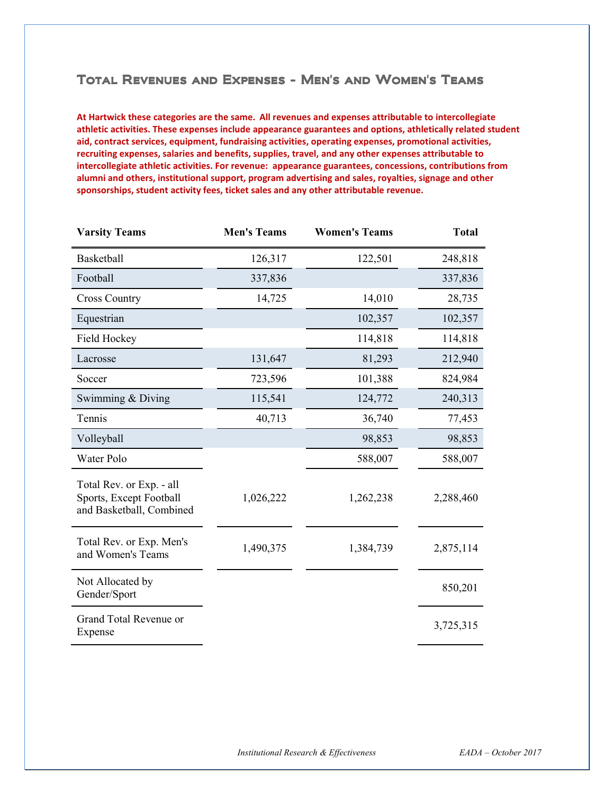### Total Revenues and Expenses - Men's and Women's Teams

**At Hartwick these categories are the same. All revenues and expenses attributable to intercollegiate athletic activities. These expenses include appearance guarantees and options, athletically related student aid, contract services, equipment, fundraising activities, operating expenses, promotional activities, recruiting expenses, salaries and benefits, supplies, travel, and any other expenses attributable to intercollegiate athletic activities. For revenue: appearance guarantees, concessions, contributions from alumni and others, institutional support, program advertising and sales, royalties, signage and other sponsorships, student activity fees, ticket sales and any other attributable revenue.** 

| <b>Varsity Teams</b>                                                            | <b>Men's Teams</b> | <b>Women's Teams</b> | <b>Total</b> |
|---------------------------------------------------------------------------------|--------------------|----------------------|--------------|
| Basketball                                                                      | 126,317            | 122,501              | 248,818      |
| Football                                                                        | 337,836            |                      | 337,836      |
| <b>Cross Country</b>                                                            | 14,725             | 14,010               | 28,735       |
| Equestrian                                                                      |                    | 102,357              | 102,357      |
| <b>Field Hockey</b>                                                             |                    | 114,818              | 114,818      |
| Lacrosse                                                                        | 131,647            | 81,293               | 212,940      |
| Soccer                                                                          | 723,596            | 101,388              | 824,984      |
| Swimming & Diving                                                               | 115,541            | 124,772              | 240,313      |
| Tennis                                                                          | 40,713             | 36,740               | 77,453       |
| Volleyball                                                                      |                    | 98,853               | 98,853       |
| Water Polo                                                                      |                    | 588,007              | 588,007      |
| Total Rev. or Exp. - all<br>Sports, Except Football<br>and Basketball, Combined | 1,026,222          | 1,262,238            | 2,288,460    |
| Total Rev. or Exp. Men's<br>and Women's Teams                                   | 1,490,375          | 1,384,739            | 2,875,114    |
| Not Allocated by<br>Gender/Sport                                                |                    |                      | 850,201      |
| Grand Total Revenue or<br>Expense                                               |                    |                      | 3,725,315    |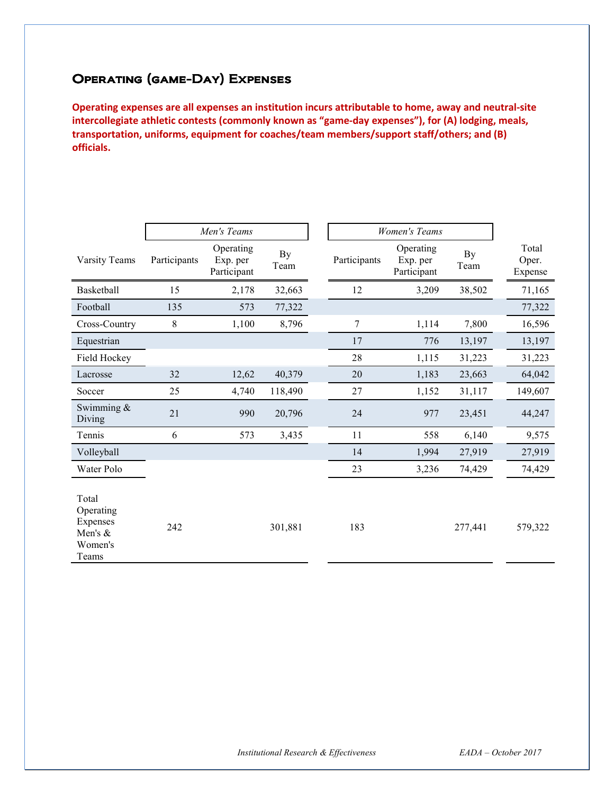# Operating (game-Day) Expenses

**Operating expenses are all expenses an institution incurs attributable to home, away and neutral-site intercollegiate athletic contests (commonly known as "game-day expenses"), for (A) lodging, meals, transportation, uniforms, equipment for coaches/team members/support staff/others; and (B) officials.** 

|                                                               |              | Men's Teams                          |            | <b>Women's Teams</b> |                                      |            |                           |
|---------------------------------------------------------------|--------------|--------------------------------------|------------|----------------------|--------------------------------------|------------|---------------------------|
| Varsity Teams                                                 | Participants | Operating<br>Exp. per<br>Participant | By<br>Team | Participants         | Operating<br>Exp. per<br>Participant | By<br>Team | Total<br>Oper.<br>Expense |
| Basketball                                                    | 15           | 2,178                                | 32,663     | 12                   | 3,209                                | 38,502     | 71,165                    |
| Football                                                      | 135          | 573                                  | 77,322     |                      |                                      |            | 77,322                    |
| Cross-Country                                                 | 8            | 1,100                                | 8,796      | 7                    | 1,114                                | 7,800      | 16,596                    |
| Equestrian                                                    |              |                                      |            | 17                   | 776                                  | 13,197     | 13,197                    |
| Field Hockey                                                  |              |                                      |            | 28                   | 1,115                                | 31,223     | 31,223                    |
| Lacrosse                                                      | 32           | 12,62                                | 40,379     | 20                   | 1,183                                | 23,663     | 64,042                    |
| Soccer                                                        | 25           | 4,740                                | 118,490    | 27                   | 1,152                                | 31,117     | 149,607                   |
| Swimming $\&$<br>Diving                                       | 21           | 990                                  | 20,796     | 24                   | 977                                  | 23,451     | 44,247                    |
| Tennis                                                        | 6            | 573                                  | 3,435      | 11                   | 558                                  | 6,140      | 9,575                     |
| Volleyball                                                    |              |                                      |            | 14                   | 1,994                                | 27,919     | 27,919                    |
| Water Polo                                                    |              |                                      |            | 23                   | 3,236                                | 74,429     | 74,429                    |
| Total<br>Operating<br>Expenses<br>Men's &<br>Women's<br>Teams | 242          |                                      | 301,881    | 183                  |                                      | 277,441    | 579,322                   |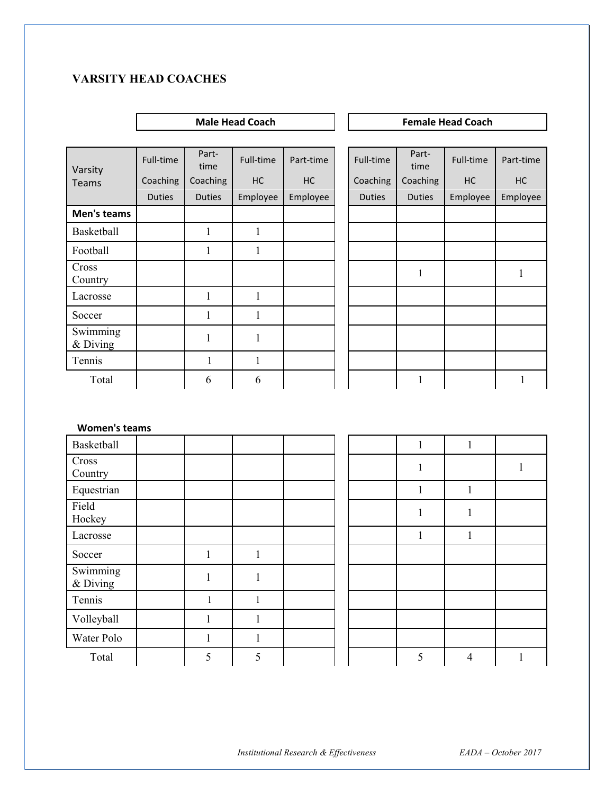## **VARSITY HEAD COACHES**

## **Male Head Coach Coach Female Head Coach Coach Coach Coach Coach Coach Coach Coach Coach Coach Coach Coach Coach Coach Coach Coach Coach Coach Coach Coach Coach Coach Coach Coach Coach Coach Coach Coach Coach Coach Coach C** Varsity Teams Full-time Part-<br>time Full-time Part-time Full-time Part-Full-time Part-time Coaching | Coaching | HC | Coaching | Coaching | HC | HC Duties | Duties | Employee | Employee | | Duties | Duties | Employee | Employee **Men's teams** Basketball 1 1 1 Football  $1 \t 1 \t 1$ Cross Country 1 <sup>1</sup> Lacrosse 1 1 1 1 Soccer  $1 \t 1 \t 1$ Swimming  $\frac{1}{2}$   $\frac{1}{1}$  1 Tennis 1 1 1 1 Total 1 6 6 6 1 1 1 1 1 1

#### **Women's teams**

| Basketball           |   |              |  | 1 | 1                 |  |
|----------------------|---|--------------|--|---|-------------------|--|
| Cross<br>Country     |   |              |  |   |                   |  |
| Equestrian           |   |              |  |   | $\mathbf{1}$<br>1 |  |
| Field<br>Hockey      |   |              |  | 1 | $\mathbf{I}$      |  |
| Lacrosse             |   |              |  | 1 | $\mathbf{1}$      |  |
| Soccer               |   |              |  |   |                   |  |
| Swimming<br>& Diving | 1 | 1            |  |   |                   |  |
| Tennis               | 1 | $\mathbf{1}$ |  |   |                   |  |
| Volleyball           |   |              |  |   |                   |  |
| Water Polo           |   |              |  |   |                   |  |
| Total                | 5 | 5            |  | 5 | $\overline{4}$    |  |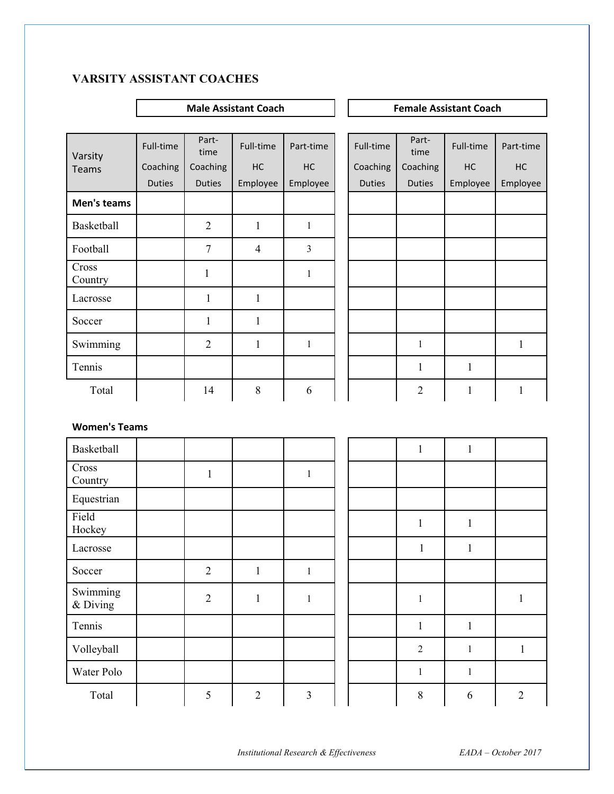## **VARSITY ASSISTANT COACHES**

#### **Male Assistant Coach Coach Female Assistant Coach Coach Remale Assistant Coach**

| Varsity          | Full-time     | Part-<br>time  | Full-time      | Part-time      | Full-time     | Part-<br>time  | Full-time    | Part-time |
|------------------|---------------|----------------|----------------|----------------|---------------|----------------|--------------|-----------|
| Teams            | Coaching      | Coaching       | HC             | HC             | Coaching      | Coaching       | HC           | HC        |
|                  | <b>Duties</b> | <b>Duties</b>  | Employee       | Employee       | <b>Duties</b> | <b>Duties</b>  | Employee     | Employee  |
| Men's teams      |               |                |                |                |               |                |              |           |
| Basketball       |               | $\overline{2}$ | $\mathbf{1}$   | $\mathbf{1}$   |               |                |              |           |
| Football         |               | $\overline{7}$ | $\overline{4}$ | $\overline{3}$ |               |                |              |           |
| Cross<br>Country |               | $\mathbf{1}$   |                | $\mathbf{1}$   |               |                |              |           |
| Lacrosse         |               | 1              | $\mathbf{1}$   |                |               |                |              |           |
| Soccer           |               | 1              | $\mathbf{1}$   |                |               |                |              |           |
| Swimming         |               | $\overline{2}$ | $\mathbf{1}$   | $\mathbf{1}$   |               | $\mathbf{1}$   |              | 1         |
| Tennis           |               |                |                |                |               | $\mathbf{1}$   | $\mathbf{1}$ |           |
| Total            |               | 14             | 8              | 6              |               | $\overline{2}$ | $\mathbf{1}$ | 1         |

#### **Women's Teams**

| Basketball           |                |                |                |  | $\mathbf{1}$   | $\mathbf{1}$ |                |
|----------------------|----------------|----------------|----------------|--|----------------|--------------|----------------|
| Cross<br>Country     | $\mathbf{1}$   |                | $\mathbf{1}$   |  |                |              |                |
| Equestrian           |                |                |                |  |                |              |                |
| Field<br>Hockey      |                |                |                |  | $\mathbf{1}$   | $\mathbf{1}$ |                |
| Lacrosse             |                |                |                |  | $\mathbf{1}$   | $\mathbf{1}$ |                |
| Soccer               | $\overline{2}$ | $\mathbf{1}$   | $\,1\,$        |  |                |              |                |
| Swimming<br>& Diving | $\overline{2}$ | $\mathbf{1}$   | $\mathbf{1}$   |  | $\mathbf{1}$   |              |                |
| Tennis               |                |                |                |  | $\mathbf{1}$   | $\mathbf{1}$ |                |
| Volleyball           |                |                |                |  | $\overline{2}$ | $\mathbf{1}$ | $\mathbf{1}$   |
| Water Polo           |                |                |                |  | $\mathbf{1}$   | $\mathbf{1}$ |                |
| Total                | 5              | $\overline{2}$ | $\overline{3}$ |  | 8              | 6            | $\overline{2}$ |